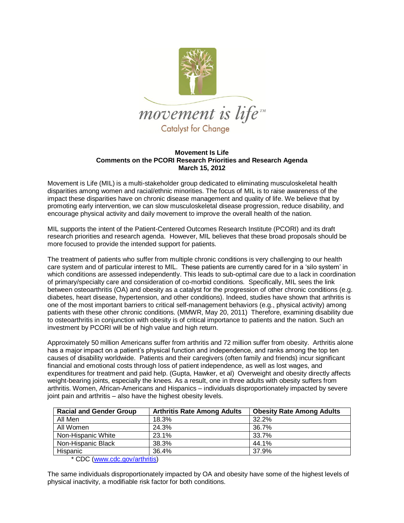

## **Movement Is Life Comments on the PCORI Research Priorities and Research Agenda March 15, 2012**

Movement is Life (MIL) is a multi-stakeholder group dedicated to eliminating musculoskeletal health disparities among women and racial/ethnic minorities. The focus of MIL is to raise awareness of the impact these disparities have on chronic disease management and quality of life. We believe that by promoting early intervention, we can slow musculoskeletal disease progression, reduce disability, and encourage physical activity and daily movement to improve the overall health of the nation.

MIL supports the intent of the Patient-Centered Outcomes Research Institute (PCORI) and its draft research priorities and research agenda. However, MIL believes that these broad proposals should be more focused to provide the intended support for patients.

The treatment of patients who suffer from multiple chronic conditions is very challenging to our health care system and of particular interest to MIL. These patients are currently cared for in a "silo system" in which conditions are assessed independently. This leads to sub-optimal care due to a lack in coordination of primary/specialty care and consideration of co-morbid conditions. Specifically, MIL sees the link between osteoarthritis (OA) and obesity as a catalyst for the progression of other chronic conditions (e.g. diabetes, heart disease, hypertension, and other conditions). Indeed, studies have shown that arthritis is one of the most important barriers to critical self-management behaviors (e.g., physical activity) among patients with these other chronic conditions. (MMWR, May 20, 2011) Therefore, examining disability due to osteoarthritis in conjunction with obesity is of critical importance to patients and the nation. Such an investment by PCORI will be of high value and high return.

Approximately 50 million Americans suffer from arthritis and 72 million suffer from obesity. Arthritis alone has a major impact on a patient's physical function and independence, and ranks among the top ten causes of disability worldwide. Patients and their caregivers (often family and friends) incur significant financial and emotional costs through loss of patient independence, as well as lost wages, and expenditures for treatment and paid help. (Gupta, Hawker, et al) Overweight and obesity directly affects weight-bearing joints, especially the knees. As a result, one in three adults with obesity suffers from arthritis. Women, African-Americans and Hispanics – individuals disproportionately impacted by severe joint pain and arthritis – also have the highest obesity levels.

| <b>Racial and Gender Group</b> | <b>Arthritis Rate Among Adults</b> | <b>Obesity Rate Among Adults</b> |
|--------------------------------|------------------------------------|----------------------------------|
| All Men                        | 18.3%                              | 32.2%                            |
| All Women                      | 24.3%                              | 36.7%                            |
| Non-Hispanic White             | 23.1%                              | 33.7%                            |
| Non-Hispanic Black             | 38.3%                              | 44.1%                            |
| Hispanic                       | 36.4%                              | 37.9%                            |

\* CDC [\(www.cdc.gov/arthritis\)](http://www.cdc.gov/arthritis)

The same individuals disproportionately impacted by OA and obesity have some of the highest levels of physical inactivity, a modifiable risk factor for both conditions.